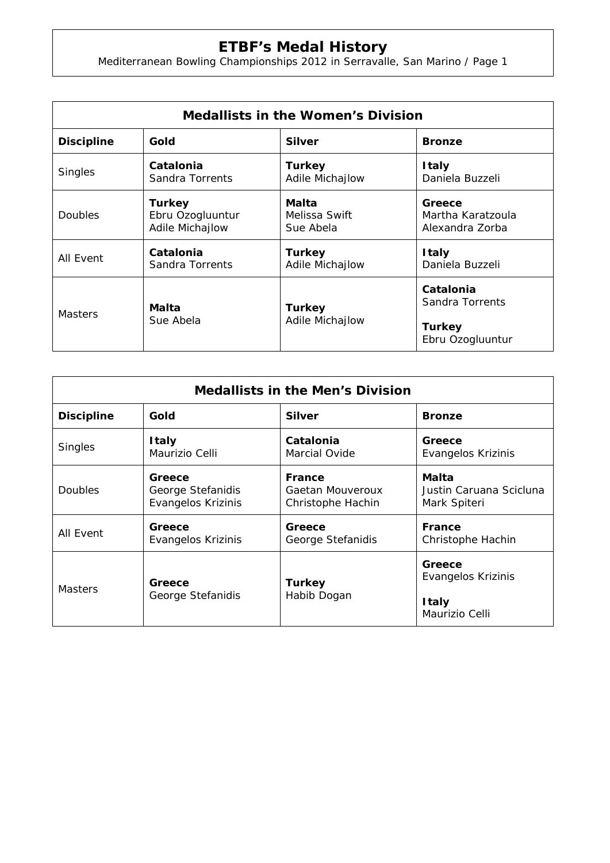## **ETBF's Medal History**

Mediterranean Bowling Championships 2012 in Serravalle, San Marino / Page 1

| <b>Medallists in the Women's Division</b> |                                                      |                                     |                                                |  |  |
|-------------------------------------------|------------------------------------------------------|-------------------------------------|------------------------------------------------|--|--|
| <b>Discipline</b>                         | Gold                                                 | <b>Silver</b>                       | <b>Bronze</b>                                  |  |  |
| <b>Singles</b>                            | Catalonia<br>Sandra Torrents                         | <b>Turkey</b><br>Adile Michajlow    | <b>Italy</b><br>Daniela Buzzeli                |  |  |
| <b>Doubles</b>                            | <b>Turkey</b><br>Ebru Ozogluuntur<br>Adile Michajlow | Malta<br>Melissa Swift<br>Sue Abela | Greece<br>Martha Karatzoula<br>Alexandra Zorba |  |  |
| All Event                                 | Catalonia<br>Sandra Torrents                         | <b>Turkey</b><br>Adile Michajlow    | <b>Italy</b><br>Daniela Buzzeli                |  |  |
| <b>Masters</b>                            | Malta<br>Sue Abela                                   | <b>Turkey</b><br>Adile Michajlow    | Catalonia<br>Sandra Torrents                   |  |  |
|                                           |                                                      |                                     | <b>Turkey</b><br>Ebru Ozogluuntur              |  |  |

| <b>Medallists in the Men's Division</b> |                                                   |                                                        |                                                  |  |  |
|-----------------------------------------|---------------------------------------------------|--------------------------------------------------------|--------------------------------------------------|--|--|
| <b>Discipline</b>                       | Gold                                              | <b>Silver</b>                                          | <b>Bronze</b>                                    |  |  |
| <b>Singles</b>                          | <b>Italy</b><br>Maurizio Celli                    | Catalonia<br>Marcial Ovide                             | Greece<br>Evangelos Krizinis                     |  |  |
| <b>Doubles</b>                          | Greece<br>George Stefanidis<br>Evangelos Krizinis | <b>France</b><br>Gaetan Mouveroux<br>Christophe Hachin | Malta<br>Justin Caruana Scicluna<br>Mark Spiteri |  |  |
| All Event                               | Greece<br>Evangelos Krizinis                      | Greece<br>George Stefanidis                            | <b>France</b><br>Christophe Hachin               |  |  |
| <b>Masters</b>                          | Greece<br>George Stefanidis                       | <b>Turkey</b><br>Habib Dogan                           | Greece<br>Evangelos Krizinis                     |  |  |
|                                         |                                                   |                                                        | <b>Italy</b><br>Maurizio Celli                   |  |  |